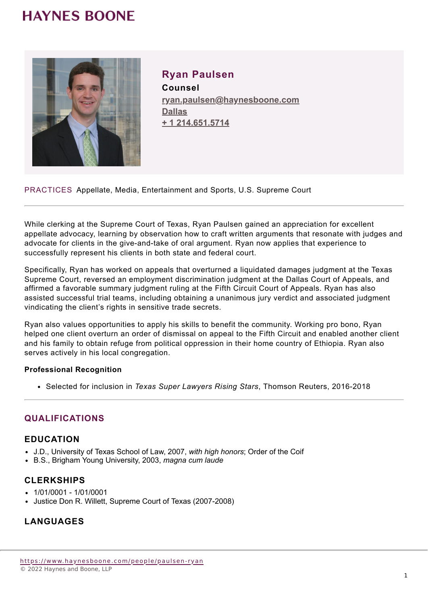## **HAYNES BOONE**



**Ryan Paulsen Counsel ryan.paulsen@haynesboone.com [Dallas](https://www.haynesboone.com/locations/dallas) [+ 1 214.651.5714](tel://+ 1 214.651.5714)**

PRACTICES Appellate, Media, Entertainment and Sports, U.S. Supreme Court

While clerking at the Supreme Court of Texas, Ryan Paulsen gained an appreciation for excellent appellate advocacy, learning by observation how to craft written arguments that resonate with judges and advocate for clients in the give-and-take of oral argument. Ryan now applies that experience to successfully represent his clients in both state and federal court.

Specifically, Ryan has worked on appeals that overturned a liquidated damages judgment at the Texas Supreme Court, reversed an employment discrimination judgment at the Dallas Court of Appeals, and affirmed a favorable summary judgment ruling at the Fifth Circuit Court of Appeals. Ryan has also assisted successful trial teams, including obtaining a unanimous jury verdict and associated judgment vindicating the client's rights in sensitive trade secrets.

Ryan also values opportunities to apply his skills to benefit the community. Working pro bono, Ryan helped one client overturn an order of dismissal on appeal to the Fifth Circuit and enabled another client and his family to obtain refuge from political oppression in their home country of Ethiopia. Ryan also serves actively in his local congregation.

#### **Professional Recognition**

Selected for inclusion in *Texas Super Lawyers Rising Stars*, Thomson Reuters, 2016-2018

## **QUALIFICATIONS**

#### **EDUCATION**

- J.D., University of Texas School of Law, 2007, *with high honors*; Order of the Coif
- B.S., Brigham Young University, 2003, *magna cum laude*

#### **CLERKSHIPS**

- $-1/01/0001 1/01/0001$
- Justice Don R. Willett, Supreme Court of Texas (2007-2008)

## **LANGUAGES**

[https://www.haynesboone.com/people/paulsen-](https://www.haynesboone.com/people/paulsen-ryan)ryan © 2022 Haynes and Boone, LLP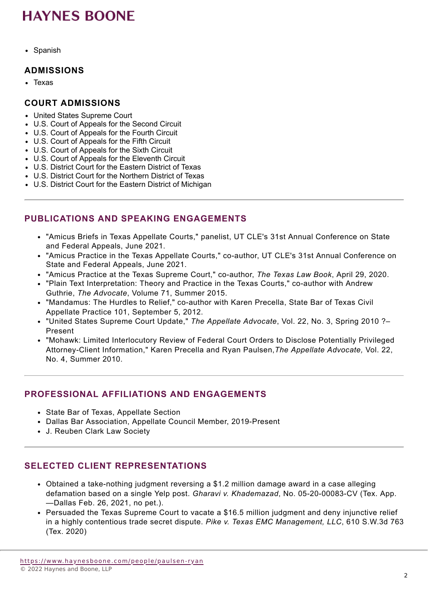## **HAYNES BOONE**

• Spanish

#### **ADMISSIONS**

• Texas

#### **COURT ADMISSIONS**

- United States Supreme Court
- U.S. Court of Appeals for the Second Circuit
- U.S. Court of Appeals for the Fourth Circuit
- U.S. Court of Appeals for the Fifth Circuit
- U.S. Court of Appeals for the Sixth Circuit
- U.S. Court of Appeals for the Eleventh Circuit
- U.S. District Court for the Eastern District of Texas
- U.S. District Court for the Northern District of Texas
- U.S. District Court for the Eastern District of Michigan

## **PUBLICATIONS AND SPEAKING ENGAGEMENTS**

- "Amicus Briefs in Texas Appellate Courts," panelist, UT CLE's 31st Annual Conference on State and Federal Appeals, June 2021.
- "Amicus Practice in the Texas Appellate Courts," co-author, UT CLE's 31st Annual Conference on State and Federal Appeals, June 2021.
- "Amicus Practice at the Texas Supreme Court," co-author, *The Texas Law Book*, April 29, 2020.
- "Plain Text Interpretation: Theory and Practice in the Texas Courts," co-author with Andrew Guthrie, *The Advocate*, Volume 71, Summer 2015.
- "Mandamus: The Hurdles to Relief," co-author with Karen Precella, State Bar of Texas Civil Appellate Practice 101, September 5, 2012.
- "United States Supreme Court Update," *The Appellate Advocate*, Vol. 22, No. 3, Spring 2010 ?– Present
- "Mohawk: Limited Interlocutory Review of Federal Court Orders to Disclose Potentially Privileged Attorney-Client Information," Karen Precella and Ryan Paulsen,*The Appellate Advocate,* Vol. 22, No. 4, Summer 2010.

## **PROFESSIONAL AFFILIATIONS AND ENGAGEMENTS**

- State Bar of Texas, Appellate Section
- Dallas Bar Association, Appellate Council Member, 2019-Present
- J. Reuben Clark Law Society

## **SELECTED CLIENT REPRESENTATIONS**

- Obtained a take-nothing judgment reversing a \$1.2 million damage award in a case alleging defamation based on a single Yelp post. *Gharavi v. Khademazad*, No. 05-20-00083-CV (Tex. App. —Dallas Feb. 26, 2021, no pet.).
- Persuaded the Texas Supreme Court to vacate a \$16.5 million judgment and deny injunctive relief in a highly contentious trade secret dispute. *Pike v. Texas EMC Management, LLC*, 610 S.W.3d 763 (Tex. 2020)